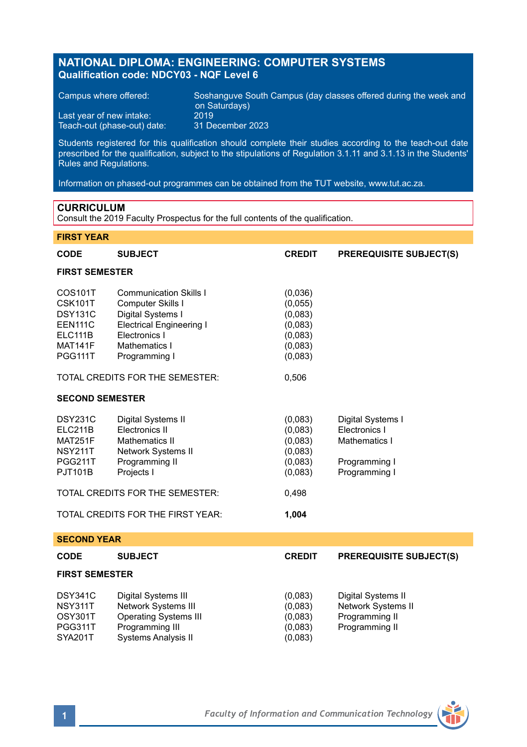# **NATIONAL DIPLOMA: ENGINEERING: COMPUTER SYSTEMS Qualification code: NDCY03 - NQF Level 6**

Teach-out (phase-out) date:

Campus where offered: Soshanguve South Campus (day classes offered during the week and on Saturdays) Last year of new intake: 2019<br>Teach-out (phase-out) date: 31 December 2023

Students registered for this qualification should complete their studies according to the teach-out date prescribed for the qualification, subject to the stipulations of Regulation 3.1.11 and 3.1.13 in the Students' Rules and Regulations.

Information on phased-out programmes can be obtained from the TUT website, www.tut.ac.za.

# **CURRICULUM**

Consult the 2019 Faculty Prospectus for the full contents of the qualification.

# **FIRST YEAR**

| <b>CODE</b>                                                                                           | <b>SUBJECT</b>                                                                                                                                                | <b>CREDIT</b>                                                             | <b>PREREQUISITE SUBJECT(S)</b>                                                        |  |
|-------------------------------------------------------------------------------------------------------|---------------------------------------------------------------------------------------------------------------------------------------------------------------|---------------------------------------------------------------------------|---------------------------------------------------------------------------------------|--|
| <b>FIRST SEMESTER</b>                                                                                 |                                                                                                                                                               |                                                                           |                                                                                       |  |
| COS101T<br>CSK101T<br><b>DSY131C</b><br><b>EEN111C</b><br>ELC111B<br><b>MAT141F</b><br><b>PGG111T</b> | <b>Communication Skills I</b><br>Computer Skills I<br>Digital Systems I<br><b>Electrical Engineering I</b><br>Electronics I<br>Mathematics I<br>Programming I | (0,036)<br>(0,055)<br>(0,083)<br>(0,083)<br>(0,083)<br>(0,083)<br>(0,083) |                                                                                       |  |
|                                                                                                       | TOTAL CREDITS FOR THE SEMESTER:                                                                                                                               | 0,506                                                                     |                                                                                       |  |
| <b>SECOND SEMESTER</b>                                                                                |                                                                                                                                                               |                                                                           |                                                                                       |  |
| <b>DSY231C</b><br>ELC211B<br>MAT251F<br><b>NSY211T</b><br><b>PGG211T</b><br><b>PJT101B</b>            | Digital Systems II<br>Electronics II<br>Mathematics II<br>Network Systems II<br>Programming II<br>Projects I                                                  | (0.083)<br>(0,083)<br>(0,083)<br>(0,083)<br>(0,083)<br>(0,083)            | Digital Systems I<br>Electronics I<br>Mathematics I<br>Programming I<br>Programming I |  |
| TOTAL CREDITS FOR THE SEMESTER:                                                                       |                                                                                                                                                               | 0,498                                                                     |                                                                                       |  |
|                                                                                                       | TOTAL CREDITS FOR THE FIRST YEAR:                                                                                                                             | 1,004                                                                     |                                                                                       |  |
| <b>SECOND YEAR</b>                                                                                    |                                                                                                                                                               |                                                                           |                                                                                       |  |
| <b>CODE</b>                                                                                           | <b>SUBJECT</b>                                                                                                                                                | <b>CREDIT</b>                                                             | <b>PREREQUISITE SUBJECT(S)</b>                                                        |  |
| <b>FIRST SEMESTER</b>                                                                                 |                                                                                                                                                               |                                                                           |                                                                                       |  |
| <b>DSY341C</b><br><b>NSY311T</b><br>OSY301T<br>PGG311T<br><b>SYA201T</b>                              | Digital Systems III<br>Network Systems III<br><b>Operating Systems III</b><br>Programming III<br><b>Systems Analysis II</b>                                   | (0.083)<br>(0,083)<br>(0,083)<br>(0,083)<br>(0,083)                       | Digital Systems II<br>Network Systems II<br>Programming II<br>Programming II          |  |

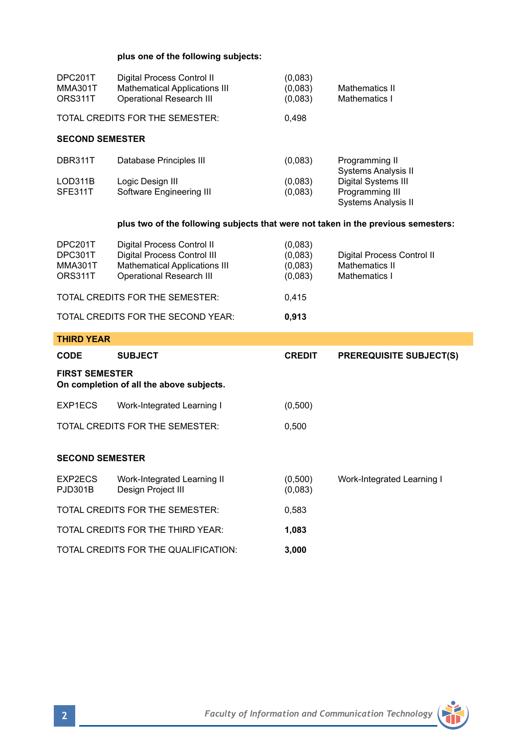# **plus one of the following subjects:**

| DPC201T<br><b>MMA301T</b><br>ORS311T                                              | Digital Process Control II<br><b>Mathematical Applications III</b><br><b>Operational Research III</b>                                | (0,083)<br>(0,083)<br>(0.083)            | Mathematics II<br>Mathematics I                                                      |  |  |
|-----------------------------------------------------------------------------------|--------------------------------------------------------------------------------------------------------------------------------------|------------------------------------------|--------------------------------------------------------------------------------------|--|--|
|                                                                                   | TOTAL CREDITS FOR THE SEMESTER:                                                                                                      | 0,498                                    |                                                                                      |  |  |
| <b>SECOND SEMESTER</b>                                                            |                                                                                                                                      |                                          |                                                                                      |  |  |
| DBR311T                                                                           | Database Principles III                                                                                                              | (0,083)                                  | Programming II                                                                       |  |  |
| LOD311B<br>SFE311T                                                                | Logic Design III<br>Software Engineering III                                                                                         | (0.083)<br>(0,083)                       | Systems Analysis II<br>Digital Systems III<br>Programming III<br>Systems Analysis II |  |  |
| plus two of the following subjects that were not taken in the previous semesters: |                                                                                                                                      |                                          |                                                                                      |  |  |
| DPC201T<br>DPC301T<br>MMA301T<br>ORS311T                                          | Digital Process Control II<br>Digital Process Control III<br><b>Mathematical Applications III</b><br><b>Operational Research III</b> | (0,083)<br>(0,083)<br>(0,083)<br>(0,083) | Digital Process Control II<br>Mathematics II<br>Mathematics I                        |  |  |
| TOTAL CREDITS FOR THE SEMESTER:                                                   |                                                                                                                                      | 0,415                                    |                                                                                      |  |  |
|                                                                                   | TOTAL CREDITS FOR THE SECOND YEAR:                                                                                                   | 0,913                                    |                                                                                      |  |  |
| <b>THIRD YEAR</b>                                                                 |                                                                                                                                      |                                          |                                                                                      |  |  |
| CODE                                                                              | <b>SUBJECT</b>                                                                                                                       | <b>CREDIT</b>                            | <b>PREREQUISITE SUBJECT(S)</b>                                                       |  |  |
| <b>FIRST SEMESTER</b><br>On completion of all the above subjects.                 |                                                                                                                                      |                                          |                                                                                      |  |  |
| EXP1ECS                                                                           | Work-Integrated Learning I                                                                                                           | (0,500)                                  |                                                                                      |  |  |
|                                                                                   | TOTAL CREDITS FOR THE SEMESTER:                                                                                                      | 0,500                                    |                                                                                      |  |  |
| <b>SECOND SEMESTER</b>                                                            |                                                                                                                                      |                                          |                                                                                      |  |  |
| EXP2ECS<br>PJD301B                                                                | Work-Integrated Learning II<br>Design Project III                                                                                    | (0,500)<br>(0,083)                       | Work-Integrated Learning I                                                           |  |  |
|                                                                                   | TOTAL CREDITS FOR THE SEMESTER:                                                                                                      | 0,583                                    |                                                                                      |  |  |
| TOTAL CREDITS FOR THE THIRD YEAR:                                                 |                                                                                                                                      | 1,083                                    |                                                                                      |  |  |
|                                                                                   | TOTAL CREDITS FOR THE QUALIFICATION:                                                                                                 | 3.000                                    |                                                                                      |  |  |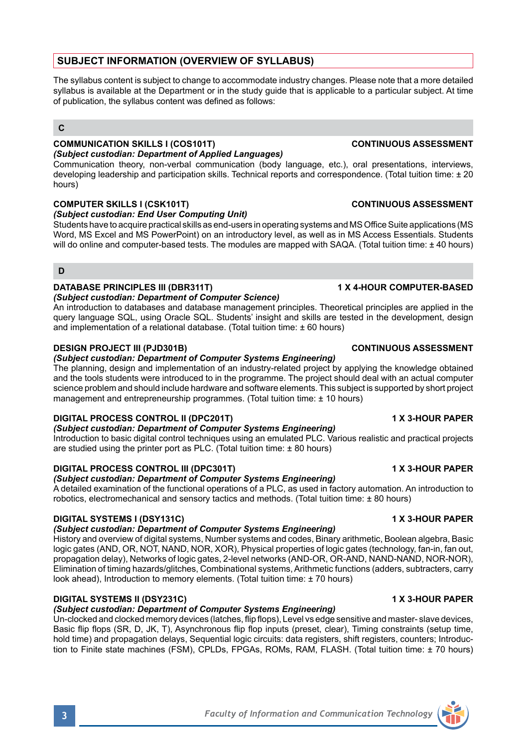# **SUBJECT INFORMATION (OVERVIEW OF SYLLABUS)**

The syllabus content is subject to change to accommodate industry changes. Please note that a more detailed syllabus is available at the Department or in the study quide that is applicable to a particular subject. At time of publication, the syllabus content was defined as follows:

## **C**

### **COMMUNICATION SKILLS I (COS101T) CONTINUOUS ASSESSMENT** *(Subject custodian: Department of Applied Languages)*

Communication theory, non-verbal communication (body language, etc.), oral presentations, interviews, developing leadership and participation skills. Technical reports and correspondence. (Total tuition time: ± 20 hours)

## **COMPUTER SKILLS I (CSK101T) CONTINUOUS ASSESSMENT**

## *(Subject custodian: End User Computing Unit)*

Students have to acquire practical skills as end-users in operating systems and MS Office Suite applications (MS Word, MS Excel and MS PowerPoint) on an introductory level, as well as in MS Access Essentials. Students will do online and computer-based tests. The modules are mapped with SAQA. (Total tuition time: ± 40 hours)

## **D**

## **DATABASE PRINCIPLES III (DBR311T) 1 X 4-HOUR COMPUTER-BASED**

### *(Subject custodian: Department of Computer Science)*

An introduction to databases and database management principles. Theoretical principles are applied in the query language SQL, using Oracle SQL. Students' insight and skills are tested in the development, design and implementation of a relational database. (Total tuition time: ± 60 hours)

## **DESIGN PROJECT III (PJD301B) CONTINUOUS ASSESSMENT**

## *(Subject custodian: Department of Computer Systems Engineering)*

The planning, design and implementation of an industry-related project by applying the knowledge obtained and the tools students were introduced to in the programme. The project should deal with an actual computer science problem and should include hardware and software elements. This subject is supported by short project management and entrepreneurship programmes. (Total tuition time: ± 10 hours)

# **DIGITAL PROCESS CONTROL II (DPC201T)** 1 X 3-HOUR PAPER

## *(Subject custodian: Department of Computer Systems Engineering)*

Introduction to basic digital control techniques using an emulated PLC. Various realistic and practical projects are studied using the printer port as PLC. (Total tuition time: ± 80 hours)

# **DIGITAL PROCESS CONTROL III (DPC301T) 1 X 3-HOUR PAPER**

# *(Subject custodian: Department of Computer Systems Engineering)*

A detailed examination of the functional operations of a PLC, as used in factory automation. An introduction to robotics, electromechanical and sensory tactics and methods. (Total tuition time: ± 80 hours)

## **DIGITAL SYSTEMS I (DSY131C) 1 X 3-HOUR PAPER**

## *(Subject custodian: Department of Computer Systems Engineering)*

History and overview of digital systems, Number systems and codes, Binary arithmetic, Boolean algebra, Basic logic gates (AND, OR, NOT, NAND, NOR, XOR), Physical properties of logic gates (technology, fan-in, fan out, propagation delay), Networks of logic gates, 2-level networks (AND-OR, OR-AND, NAND-NAND, NOR-NOR), Elimination of timing hazards/glitches, Combinational systems, Arithmetic functions (adders, subtracters, carry look ahead), Introduction to memory elements. (Total tuition time: ± 70 hours)

# **DIGITAL SYSTEMS II (DSY231C) 1 X 3-HOUR PAPER**

## *(Subject custodian: Department of Computer Systems Engineering)*

Un-clocked and clocked memory devices (latches, flip flops), Level vs edge sensitive and master- slave devices, Basic flip flops (SR, D, JK, T), Asynchronous flip flop inputs (preset, clear), Timing constraints (setup time, hold time) and propagation delays, Sequential logic circuits: data registers, shift registers, counters; Introduction to Finite state machines (FSM), CPLDs, FPGAs, ROMs, RAM, FLASH. (Total tuition time: ± 70 hours)

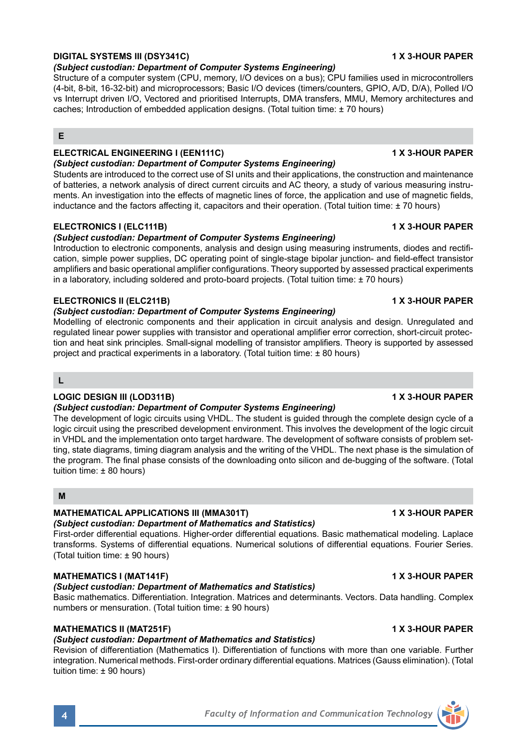# **DIGITAL SYSTEMS III (DSY341C) 1 X 3-HOUR PAPER**

# *(Subject custodian: Department of Computer Systems Engineering)*

Structure of a computer system (CPU, memory, I/O devices on a bus); CPU families used in microcontrollers (4-bit, 8-bit, 16-32-bit) and microprocessors; Basic I/O devices (timers/counters, GPIO, A/D, D/A), Polled I/O vs Interrupt driven I/O, Vectored and prioritised Interrupts, DMA transfers, MMU, Memory architectures and caches; Introduction of embedded application designs. (Total tuition time: ± 70 hours)

## **E**

# **ELECTRICAL ENGINEERING I (EEN111C) 1 X 3-HOUR PAPER**

### *(Subject custodian: Department of Computer Systems Engineering)*

Students are introduced to the correct use of SI units and their applications, the construction and maintenance of batteries, a network analysis of direct current circuits and AC theory, a study of various measuring instruments. An investigation into the effects of magnetic lines of force, the application and use of magnetic fields, inductance and the factors affecting it, capacitors and their operation. (Total tuition time: ± 70 hours)

## **ELECTRONICS I (ELC111B) 1 X 3-HOUR PAPER**

## *(Subject custodian: Department of Computer Systems Engineering)*

Introduction to electronic components, analysis and design using measuring instruments, diodes and rectification, simple power supplies, DC operating point of single-stage bipolar junction- and field-effect transistor amplifiers and basic operational amplifier configurations. Theory supported by assessed practical experiments in a laboratory, including soldered and proto-board projects. (Total tuition time: ± 70 hours)

## **ELECTRONICS II (ELC211B) 1 X 3-HOUR PAPER**

## *(Subject custodian: Department of Computer Systems Engineering)*

Modelling of electronic components and their application in circuit analysis and design. Unregulated and regulated linear power supplies with transistor and operational amplifier error correction, short-circuit protection and heat sink principles. Small-signal modelling of transistor amplifiers. Theory is supported by assessed project and practical experiments in a laboratory. (Total tuition time: ± 80 hours)

**L**

# **LOGIC DESIGN III (LOD311B) 1 X 3-HOUR PAPER**

# *(Subject custodian: Department of Computer Systems Engineering)*

The development of logic circuits using VHDL. The student is guided through the complete design cycle of a logic circuit using the prescribed development environment. This involves the development of the logic circuit in VHDL and the implementation onto target hardware. The development of software consists of problem setting, state diagrams, timing diagram analysis and the writing of the VHDL. The next phase is the simulation of the program. The final phase consists of the downloading onto silicon and de-bugging of the software. (Total tuition time: ± 80 hours)

## **M**

# **MATHEMATICAL APPLICATIONS III (MMA301T) 1 X 3-HOUR PAPER**

# *(Subject custodian: Department of Mathematics and Statistics)*

First-order differential equations. Higher-order differential equations. Basic mathematical modeling. Laplace transforms. Systems of differential equations. Numerical solutions of differential equations. Fourier Series. (Total tuition time: ± 90 hours)

# **MATHEMATICS I (MAT141F) 1 X 3-HOUR PAPER**

# *(Subject custodian: Department of Mathematics and Statistics)*

Basic mathematics. Differentiation. Integration. Matrices and determinants. Vectors. Data handling. Complex numbers or mensuration. (Total tuition time: ± 90 hours)

# **MATHEMATICS II (MAT251F) 1 X 3-HOUR PAPER**

# *(Subject custodian: Department of Mathematics and Statistics)*

Revision of differentiation (Mathematics I). Differentiation of functions with more than one variable. Further integration. Numerical methods. First-order ordinary differential equations. Matrices (Gauss elimination). (Total tuition time: ± 90 hours)

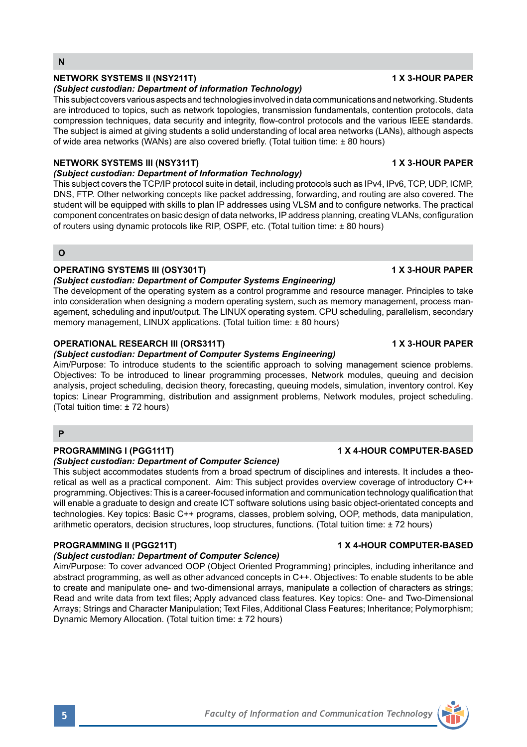# **NETWORK SYSTEMS II (NSY211T) 1 X 3-HOUR PAPER**

### *(Subject custodian: Department of information Technology)*

This subject covers various aspects and technologies involved in data communications and networking. Students are introduced to topics, such as network topologies, transmission fundamentals, contention protocols, data compression techniques, data security and integrity, flow-control protocols and the various IEEE standards. The subject is aimed at giving students a solid understanding of local area networks (LANs), although aspects of wide area networks (WANs) are also covered briefly. (Total tuition time: ± 80 hours)

# **NETWORK SYSTEMS III (NSY311T) 1 X 3-HOUR PAPER**

## *(Subject custodian: Department of Information Technology)*

This subject covers the TCP/IP protocol suite in detail, including protocols such as IPv4, IPv6, TCP, UDP, ICMP, DNS, FTP. Other networking concepts like packet addressing, forwarding, and routing are also covered. The student will be equipped with skills to plan IP addresses using VLSM and to configure networks. The practical component concentrates on basic design of data networks, IP address planning, creating VLANs, configuration of routers using dynamic protocols like RIP, OSPF, etc. (Total tuition time: ± 80 hours)

# **O**

# **OPERATING SYSTEMS III (OSY301T)** 1 X 3-HOUR PAPER

# *(Subject custodian: Department of Computer Systems Engineering)*

The development of the operating system as a control programme and resource manager. Principles to take into consideration when designing a modern operating system, such as memory management, process management, scheduling and input/output. The LINUX operating system. CPU scheduling, parallelism, secondary memory management, LINUX applications. (Total tuition time: ± 80 hours)

# **OPERATIONAL RESEARCH III (ORS311T) 1 X 3-HOUR PAPER**

## *(Subject custodian: Department of Computer Systems Engineering)*

Aim/Purpose: To introduce students to the scientific approach to solving management science problems. Objectives: To be introduced to linear programming processes, Network modules, queuing and decision analysis, project scheduling, decision theory, forecasting, queuing models, simulation, inventory control. Key topics: Linear Programming, distribution and assignment problems, Network modules, project scheduling. (Total tuition time: ± 72 hours)

## **P**

# **PROGRAMMING I (PGG111T) 1 X 4-HOUR COMPUTER-BASED**

## *(Subject custodian: Department of Computer Science)*

This subject accommodates students from a broad spectrum of disciplines and interests. It includes a theoretical as well as a practical component. Aim: This subject provides overview coverage of introductory C++ programming. Objectives: This is a career-focused information and communication technology qualification that will enable a graduate to design and create ICT software solutions using basic object-orientated concepts and technologies. Key topics: Basic C++ programs, classes, problem solving, OOP, methods, data manipulation, arithmetic operators, decision structures, loop structures, functions. (Total tuition time: ± 72 hours)

# *(Subject custodian: Department of Computer Science)*

Aim/Purpose: To cover advanced OOP (Object Oriented Programming) principles, including inheritance and abstract programming, as well as other advanced concepts in C++. Objectives: To enable students to be able to create and manipulate one- and two-dimensional arrays, manipulate a collection of characters as strings; Read and write data from text files; Apply advanced class features. Key topics: One- and Two-Dimensional Arrays; Strings and Character Manipulation; Text Files, Additional Class Features; Inheritance; Polymorphism; Dynamic Memory Allocation. (Total tuition time: ± 72 hours)

## **PROGRAMMING II (PGG211T) 1 X 4-HOUR COMPUTER-BASED**